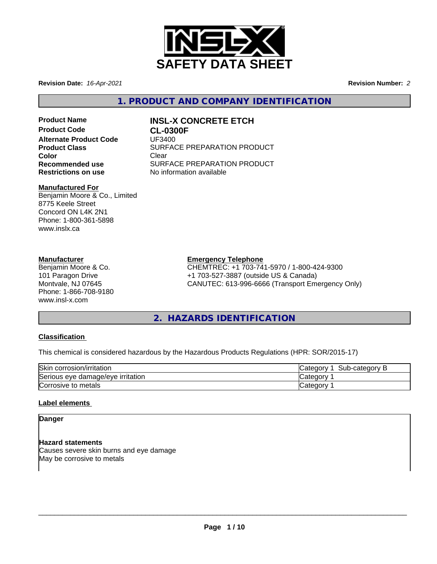

**Revision Date:** *16-Apr-2021* **Revision Number:** *2*

**1. PRODUCT AND COMPANY IDENTIFICATION**

**Product Code CL-0300F Alternate Product Code** UF3400 **Color** Clear Clear

# **Product Name INSL-X CONCRETE ETCH**

**Product Class SURFACE PREPARATION PRODUCT Recommended use** SURFACE PREPARATION PRODUCT<br> **Restrictions on use** No information available **No information available** 

#### **Manufactured For**

Benjamin Moore & Co., Limited 8775 Keele Street Concord ON L4K 2N1 Phone: 1-800-361-5898 www.inslx.ca

#### **Manufacturer**

Benjamin Moore & Co. 101 Paragon Drive Montvale, NJ 07645 Phone: 1-866-708-9180 www.insl-x.com

#### **Emergency Telephone**

CHEMTREC: +1 703-741-5970 / 1-800-424-9300 +1 703-527-3887 (outside US & Canada) CANUTEC: 613-996-6666 (Transport Emergency Only)

# **2. HAZARDS IDENTIFICATION**

#### **Classification**

This chemical is considered hazardous by the Hazardous Products Regulations (HPR: SOR/2015-17)

| Skin corrosion/irritation              | -category<br>″ ategoryب<br>sub<br> |
|----------------------------------------|------------------------------------|
| Serious<br>s eve damage/eve irritation | ∵ dteqorvٽ                         |
| ∽<br>∍ metals<br>Corrosive to          | ∵ategorv س                         |

#### **Label elements**

**Danger**

**Hazard statements** Causes severe skin burns and eye damage May be corrosive to metals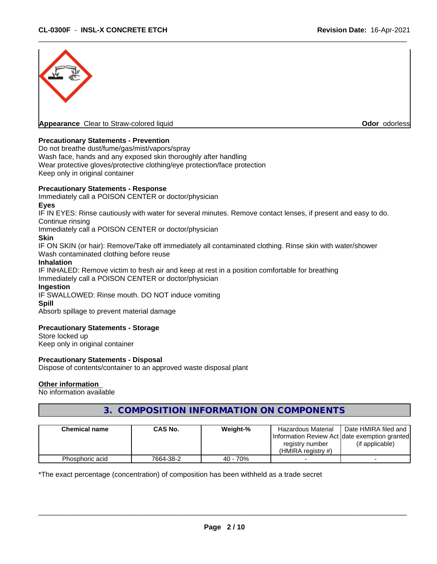

#### **Precautionary Statements - Prevention**

Do not breathe dust/fume/gas/mist/vapors/spray Wash face, hands and any exposed skin thoroughly after handling Wear protective gloves/protective clothing/eye protection/face protection Keep only in original container

#### **Precautionary Statements - Response**

Immediately call a POISON CENTER or doctor/physician

#### **Eyes**

IF IN EYES: Rinse cautiously with water for several minutes. Remove contact lenses, if present and easy to do. Continue rinsing

Immediately call a POISON CENTER or doctor/physician

#### **Skin**

IF ON SKIN (or hair): Remove/Take off immediately all contaminated clothing. Rinse skin with water/shower Wash contaminated clothing before reuse

#### **Inhalation**

IF INHALED: Remove victim to fresh air and keep at rest in a position comfortable for breathing Immediately call a POISON CENTER or doctor/physician

#### **Ingestion**

IF SWALLOWED: Rinse mouth. DO NOT induce vomiting

#### **Spill**

Absorb spillage to prevent material damage

#### **Precautionary Statements - Storage**

Store locked up Keep only in original container

#### **Precautionary Statements - Disposal**

Dispose of contents/container to an approved waste disposal plant

#### **Other information**

No information available

### **3. COMPOSITION INFORMATION ON COMPONENTS**

| <b>Chemical name</b> | CAS No.   | Weight-% | <b>Hazardous Material</b>                      | Date HMIRA filed and |
|----------------------|-----------|----------|------------------------------------------------|----------------------|
|                      |           |          | Information Review Act Idate exemption granted |                      |
|                      |           |          | registry number                                | (if applicable)      |
|                      |           |          | (HMIRA reaistry #)                             |                      |
| Phosphoric acid      | 7664-38-2 | 40 - 70% |                                                |                      |

\*The exact percentage (concentration) of composition has been withheld as a trade secret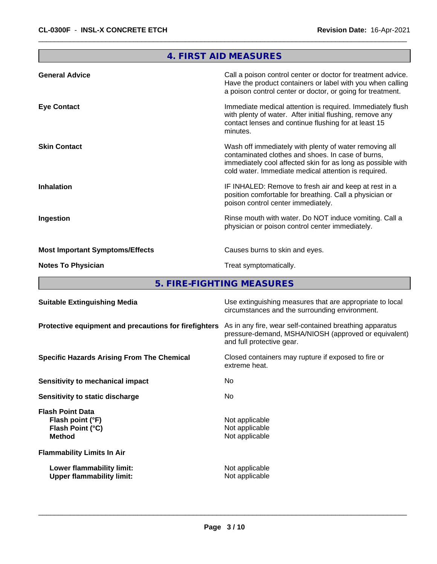# **4. FIRST AID MEASURES General Advice** Call a poison control center or doctor for treatment advice. Have the product containers or label with you when calling a poison control center or doctor, or going for treatment. **Eye Contact Immediate medical attention is required. Immediately flush** Immediately flush with plenty of water. After initial flushing, remove any contact lenses and continue flushing for at least 15 minutes. **Skin Contact** Superson Wash off immediately with plenty of water removing all contaminated clothes and shoes. In case of burns, immediately cool affected skin for as long as possible with cold water. Immediate medical attention is required. **Inhalation IF INHALED:** Remove to fresh air and keep at rest in a position comfortable for breathing. Call a physician or poison control center immediately. **Ingestion Rinse mouth with water. Do NOT induce vomiting. Call a** Rinse mouth with water. Do NOT induce vomiting. Call a physician or poison control center immediately. **Most Important Symptoms/Effects** Causes burns to skin and eyes. **Notes To Physician Treat symptomatically.**

**5. FIRE-FIGHTING MEASURES**

| <b>Suitable Extinguishing Media</b>                                              | Use extinguishing measures that are appropriate to local<br>circumstances and the surrounding environment.                                   |
|----------------------------------------------------------------------------------|----------------------------------------------------------------------------------------------------------------------------------------------|
| Protective equipment and precautions for firefighters                            | As in any fire, wear self-contained breathing apparatus<br>pressure-demand, MSHA/NIOSH (approved or equivalent)<br>and full protective gear. |
| <b>Specific Hazards Arising From The Chemical</b>                                | Closed containers may rupture if exposed to fire or<br>extreme heat.                                                                         |
| Sensitivity to mechanical impact                                                 | No.                                                                                                                                          |
| Sensitivity to static discharge                                                  | No.                                                                                                                                          |
| <b>Flash Point Data</b><br>Flash point (°F)<br>Flash Point (°C)<br><b>Method</b> | Not applicable<br>Not applicable<br>Not applicable                                                                                           |
| <b>Flammability Limits In Air</b>                                                |                                                                                                                                              |
| Lower flammability limit:<br><b>Upper flammability limit:</b>                    | Not applicable<br>Not applicable                                                                                                             |
|                                                                                  |                                                                                                                                              |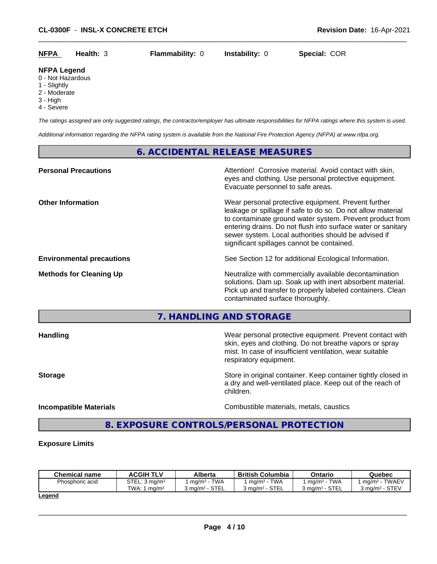| <b>NFPA</b> | <b>Health: 3</b> | <b>Flammability: 0</b> | <b>Instability:</b> 0 | Special: COR |
|-------------|------------------|------------------------|-----------------------|--------------|
|             |                  |                        |                       |              |

#### **NFPA Legend**

0 - Not Hazardous

- 1 Slightly
- 2 Moderate
- 3 High
- 4 Severe

*The ratings assigned are only suggested ratings, the contractor/employer has ultimate responsibilities for NFPA ratings where this system is used.*

*Additional information regarding the NFPA rating system is available from the National Fire Protection Agency (NFPA) at www.nfpa.org.*

### **6. ACCIDENTAL RELEASE MEASURES**

| <b>Personal Precautions</b>      | Attention! Corrosive material. Avoid contact with skin,<br>eyes and clothing. Use personal protective equipment.<br>Evacuate personnel to safe areas.                                                                                                                                                                                                |
|----------------------------------|------------------------------------------------------------------------------------------------------------------------------------------------------------------------------------------------------------------------------------------------------------------------------------------------------------------------------------------------------|
| <b>Other Information</b>         | Wear personal protective equipment. Prevent further<br>leakage or spillage if safe to do so. Do not allow material<br>to contaminate ground water system. Prevent product from<br>entering drains. Do not flush into surface water or sanitary<br>sewer system. Local authorities should be advised if<br>significant spillages cannot be contained. |
| <b>Environmental precautions</b> | See Section 12 for additional Ecological Information.                                                                                                                                                                                                                                                                                                |
| <b>Methods for Cleaning Up</b>   | Neutralize with commercially available decontamination<br>solutions. Dam up. Soak up with inert absorbent material.<br>Pick up and transfer to properly labeled containers. Clean<br>contaminated surface thoroughly.                                                                                                                                |

**7. HANDLING AND STORAGE**

| <b>Handling</b>               | Wear personal protective equipment. Prevent contact with<br>skin, eyes and clothing. Do not breathe vapors or spray<br>mist. In case of insufficient ventilation, wear suitable<br>respiratory equipment. |
|-------------------------------|-----------------------------------------------------------------------------------------------------------------------------------------------------------------------------------------------------------|
| <b>Storage</b>                | Store in original container. Keep container tightly closed in<br>a dry and well-ventilated place. Keep out of the reach of<br>children.                                                                   |
| <b>Incompatible Materials</b> | Combustible materials, metals, caustics                                                                                                                                                                   |

# **8. EXPOSURE CONTROLS/PERSONAL PROTECTION**

#### **Exposure Limits**

| <b>Chemical name</b> | <b>ACGIH TLV</b>          | Alberta                                     | <b>British Columbia</b>             | Ontario                                           | Quebec                      |
|----------------------|---------------------------|---------------------------------------------|-------------------------------------|---------------------------------------------------|-----------------------------|
| Phosphoric acid      | STEL: 3 ma/m <sup>3</sup> | <b>TWA</b><br>mq/m <sup>3</sup>             | <b>TWA</b><br>mq/m <sup>3</sup>     | <b>TWA</b><br>ma/m <sup>3</sup>                   | <b>TWAEV</b><br>$ma/m3$ -   |
|                      | TWA.<br>ma/m <sup>3</sup> | <b>STE</b><br>კ ma/m <sup>3</sup><br>31 E L | <b>STEI</b><br>3 ma/mª<br>· ⊃ ا ⊏ L | $\sim$ TF<br>$3 \text{ ma/m}^3$<br>-<br>، ت<br>ᄂᄂ | STEV<br>് ma/m <sup>3</sup> |

**Legend**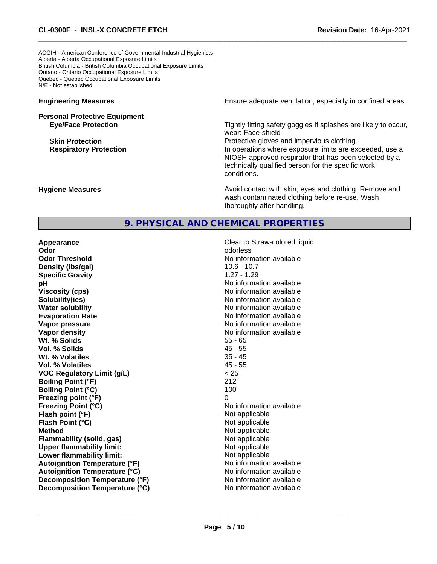ACGIH - American Conference of Governmental Industrial Hygienists Alberta - Alberta Occupational Exposure Limits British Columbia - British Columbia Occupational Exposure Limits Ontario - Ontario Occupational Exposure Limits Quebec - Quebec Occupational Exposure Limits N/E - Not established

# **Personal Protective Equipment**

**Engineering Measures Ensure** Ensure adequate ventilation, especially in confined areas.

**Eye/Face Protection Tightly fitting safety goggles If splashes are likely to occur,** wear: Face-shield

**Skin Protection Protection Protective gloves and impervious clothing. Respiratory Protection In operations where exposure limits are exceeded, use a** NIOSH approved respirator that has been selected by a technically qualified person for the specific work conditions.

**Hygiene Measures Avoid contact with skin, eyes and clothing. Remove and Avoid contact with skin, eyes and clothing. Remove and Avoid contact with skin, eyes and clothing. Remove and** wash contaminated clothing before re-use. Wash thoroughly after handling.

#### **9. PHYSICAL AND CHEMICAL PROPERTIES**

**Appearance Clear to Straw-colored liquid Clear to Straw-colored liquid Odor** odorless **Odor Threshold No information available No information available Density (lbs/gal)** 10.6 - 10.7 **Specific Gravity** 1.27 - 1.29 **pH pH**  $\blacksquare$ **Viscosity (cps)** No information available **Solubility(ies)** No information available **Water solubility** No information available **Evaporation Rate** No information available **Vapor pressure** No information available in the North American Monte available in the North American available **Vapor density No information available No** information available **Wt. % Solids** 55 - 65 **Vol. % Solids** 45 - 55 **Wt. % Volatiles Vol. % Volatiles** 45 - 55 **VOC Regulatory Limit (g/L)** < 25 **Boiling Point (°F)** 212 **Boiling Point (°C)** 100 **Freezing point (°F)** 0 **Freezing Point (°C)** The Company of the Monometer of Noinformation available **Flash point (°F)** Not applicable **Flash Point (°C)** Not applicable **Method**<br> **Flammability (solid, gas)**<br> **Example 2018** Not applicable **Flammability (solid, gas)**<br> **Upper flammability limit:**<br>
Upper flammability limit: **Upper flammability limit:**<br> **Lower flammability limit:** Not applicable Not applicable **Lower flammability limit:**<br> **Autoignition Temperature (°F)** Not applicable havailable available **Autoignition Temperature (°F) Autoignition Temperature (°C)** No information available **Decomposition Temperature (°F)** No information available **Decomposition Temperature (°C)** No information available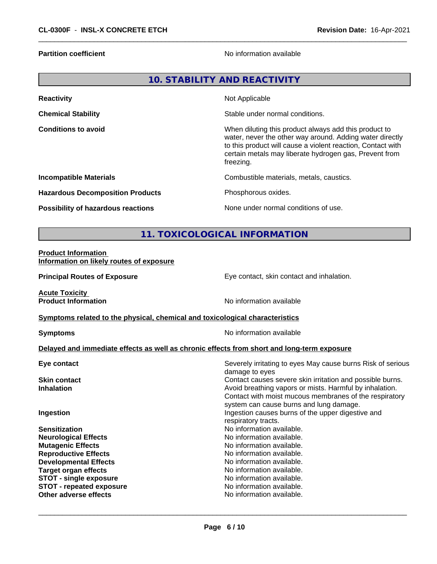**Partition coefficient Contract Contract Contract Contract Contract Contract Contract Contract Contract Contract Contract Contract Contract Contract Contract Contract Contract Contract Contract Contract Contract Contract** 

### **10. STABILITY AND REACTIVITY**

| <b>Reactivity</b>                       | Not Applicable                                                                                                                                                                                                                                          |
|-----------------------------------------|---------------------------------------------------------------------------------------------------------------------------------------------------------------------------------------------------------------------------------------------------------|
| <b>Chemical Stability</b>               | Stable under normal conditions.                                                                                                                                                                                                                         |
| <b>Conditions to avoid</b>              | When diluting this product always add this product to<br>water, never the other way around. Adding water directly<br>to this product will cause a violent reaction, Contact with<br>certain metals may liberate hydrogen gas, Prevent from<br>freezing. |
| <b>Incompatible Materials</b>           | Combustible materials, metals, caustics.                                                                                                                                                                                                                |
| <b>Hazardous Decomposition Products</b> | Phosphorous oxides.                                                                                                                                                                                                                                     |
| Possibility of hazardous reactions      | None under normal conditions of use.                                                                                                                                                                                                                    |

## **11. TOXICOLOGICAL INFORMATION**

#### **Product Information Information on likely routes of exposure**

**Principal Routes of Exposure Exposure** Eye contact, skin contact and inhalation.

**Acute Toxicity Product Information** No information available

**Symptoms** related to the physical, chemical and toxicological characteristics

**Symptoms** No information available

#### **Delayed and immediate effects as well as chronic effects from short and long-term exposure**

| Eye contact                     | Severely irritating to eyes May cause burns Risk of serious<br>damage to eyes |
|---------------------------------|-------------------------------------------------------------------------------|
| <b>Skin contact</b>             | Contact causes severe skin irritation and possible burns.                     |
|                                 |                                                                               |
| <b>Inhalation</b>               | Avoid breathing vapors or mists. Harmful by inhalation.                       |
|                                 | Contact with moist mucous membranes of the respiratory                        |
|                                 | system can cause burns and lung damage.                                       |
| Ingestion                       | Ingestion causes burns of the upper digestive and                             |
|                                 | respiratory tracts.                                                           |
| <b>Sensitization</b>            | No information available.                                                     |
| <b>Neurological Effects</b>     | No information available.                                                     |
| <b>Mutagenic Effects</b>        | No information available.                                                     |
| <b>Reproductive Effects</b>     | No information available.                                                     |
| <b>Developmental Effects</b>    | No information available.                                                     |
| <b>Target organ effects</b>     | No information available.                                                     |
| <b>STOT - single exposure</b>   | No information available.                                                     |
| <b>STOT - repeated exposure</b> | No information available.                                                     |
| Other adverse effects           | No information available.                                                     |
|                                 |                                                                               |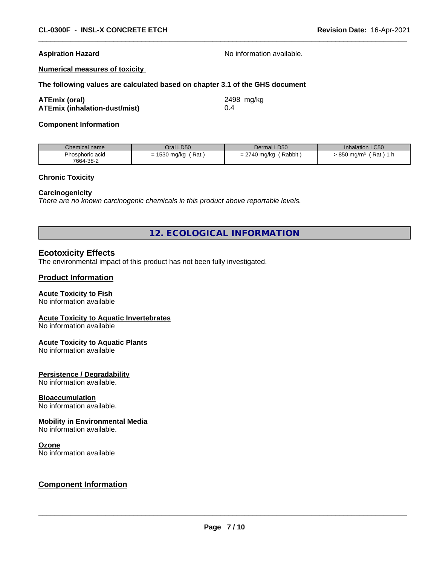**Aspiration Hazard Aspiration Hazard No information available.** 

**Numerical measures of toxicity**

#### **The following values are calculated based on chapter 3.1 of the GHS document**

| <b>ATEmix (oral)</b>                 | 2498 mg/kg |
|--------------------------------------|------------|
| <b>ATEmix (inhalation-dust/mist)</b> |            |

**Component Information**

| Chemical name   | Oral LD50              | Dermal LD50            | Inhalation LC50                      |
|-----------------|------------------------|------------------------|--------------------------------------|
| Phosphoric acid | Rat<br>1530 mg/kg<br>= | Rabbit<br>= 2740 mg/kg | ˈRat ) 1 h<br>$-850$ mg/m $^{\circ}$ |
| 7664-38-2       |                        |                        |                                      |

#### **Chronic Toxicity**

#### **Carcinogenicity**

*There are no known carcinogenic chemicals in this product above reportable levels.*

**12. ECOLOGICAL INFORMATION**

#### **Ecotoxicity Effects**

The environmental impact of this product has not been fully investigated.

#### **Product Information**

#### **Acute Toxicity to Fish**

No information available

#### **Acute Toxicity to Aquatic Invertebrates**

No information available

#### **Acute Toxicity to Aquatic Plants**

No information available

#### **Persistence / Degradability**

No information available.

#### **Bioaccumulation**

No information available.

#### **Mobility in Environmental Media**

No information available.

#### **Ozone**

No information available

#### **Component Information**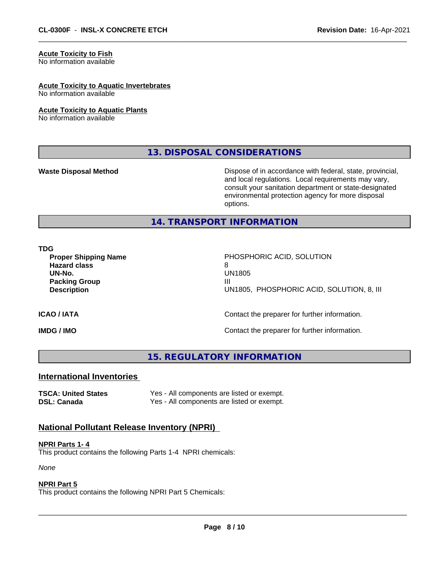#### **Acute Toxicity to Fish**

No information available

#### **Acute Toxicity to Aquatic Invertebrates**

No information available

#### **Acute Toxicity to Aquatic Plants**

No information available

**13. DISPOSAL CONSIDERATIONS**

**Waste Disposal Method** Mateur Dispose of in accordance with federal, state, provincial, and local regulations. Local requirements may vary, consult your sanitation department or state-designated environmental protection agency for more disposal options.

#### **14. TRANSPORT INFORMATION**

#### **TDG**

**Hazard class** 8 **Packing Group III**<br> **Packing Group** 

**Proper Shipping Name** PHOSPHORIC ACID, SOLUTION **UN-No.** UN1805 **Description** UN1805, PHOSPHORIC ACID, SOLUTION, 8, III

#### **ICAO / IATA ICAO / IATA Contact the preparer for further information.**

**IMDG / IMO IMO Contact the preparer for further information.** 

### **15. REGULATORY INFORMATION**

#### **International Inventories**

**TSCA: United States** Yes - All components are listed or exempt. **DSL: Canada** Yes - All components are listed or exempt.

#### **National Pollutant Release Inventory (NPRI)**

#### **NPRI Parts 1- 4**

This product contains the following Parts 1-4 NPRI chemicals:

*None*

#### **NPRI Part 5**

This product contains the following NPRI Part 5 Chemicals: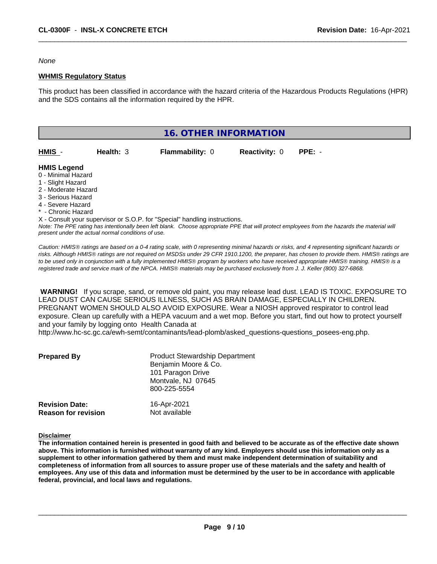*None*

#### **WHMIS Regulatory Status**

This product has been classified in accordance with the hazard criteria of the Hazardous Products Regulations (HPR) and the SDS contains all the information required by the HPR.



*present under the actual normal conditions of use.*

*Caution: HMISÒ ratings are based on a 0-4 rating scale, with 0 representing minimal hazards or risks, and 4 representing significant hazards or risks. Although HMISÒ ratings are not required on MSDSs under 29 CFR 1910.1200, the preparer, has chosen to provide them. HMISÒ ratings are to be used only in conjunction with a fully implemented HMISÒ program by workers who have received appropriate HMISÒ training. HMISÒ is a registered trade and service mark of the NPCA. HMISÒ materials may be purchased exclusively from J. J. Keller (800) 327-6868.*

 **WARNING!** If you scrape, sand, or remove old paint, you may release lead dust. LEAD IS TOXIC. EXPOSURE TO LEAD DUST CAN CAUSE SERIOUS ILLNESS, SUCH AS BRAIN DAMAGE, ESPECIALLY IN CHILDREN. PREGNANT WOMEN SHOULD ALSO AVOID EXPOSURE.Wear a NIOSH approved respirator to control lead exposure. Clean up carefully with a HEPA vacuum and a wet mop. Before you start, find out how to protect yourself and your family by logging onto Health Canada at

http://www.hc-sc.gc.ca/ewh-semt/contaminants/lead-plomb/asked\_questions-questions\_posees-eng.php.

| <b>Prepared By</b>                                  | <b>Product Stewardship Department</b><br>Benjamin Moore & Co.<br>101 Paragon Drive<br>Montvale, NJ 07645<br>800-225-5554 |  |
|-----------------------------------------------------|--------------------------------------------------------------------------------------------------------------------------|--|
| <b>Revision Date:</b><br><b>Reason for revision</b> | 16-Apr-2021<br>Not available                                                                                             |  |

#### **Disclaimer**

The information contained herein is presented in good faith and believed to be accurate as of the effective date shown above. This information is furnished without warranty of any kind. Employers should use this information only as a **supplement to other information gathered by them and must make independent determination of suitability and** completeness of information from all sources to assure proper use of these materials and the safety and health of employees. Any use of this data and information must be determined by the user to be in accordance with applicable **federal, provincial, and local laws and regulations.**